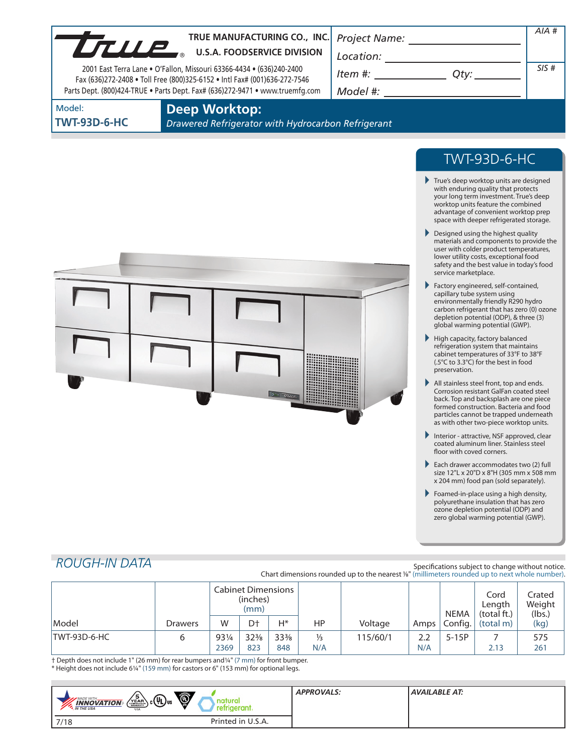| UTILIP | TRUE MANUFACTURING CO., INC.<br><b>U.S.A. FOODSERVICE DIVISION</b><br>2001 East Terra Lane . O'Fallon, Missouri 63366-4434 . (636)240-2400<br>Fax (636)272-2408 . Toll Free (800)325-6152 . Intl Fax# (001)636-272-7546<br>Parts Dept. (800)424-TRUE . Parts Dept. Fax# (636)272-9471 . www.truemfg.com | Project Name:<br>Location:<br>ltem #:<br>Otv:<br>Model #: | AIA#<br>SIS# |
|--------|---------------------------------------------------------------------------------------------------------------------------------------------------------------------------------------------------------------------------------------------------------------------------------------------------------|-----------------------------------------------------------|--------------|
| Model: | Deep Worktop:                                                                                                                                                                                                                                                                                           |                                                           |              |

**TWT-93D-6-HC**

**Deep Worktop:**

*Drawered Refrigerator with Hydrocarbon Refrigerant*



# TWT-93D-6-HC

- True's deep worktop units are designed with enduring quality that protects your long term investment. True's deep worktop units feature the combined advantage of convenient worktop prep space with deeper refrigerated storage.
- Designed using the highest quality materials and components to provide the user with colder product temperatures, lower utility costs, exceptional food safety and the best value in today's food service marketplace.
- Factory engineered, self-contained, capillary tube system using environmentally friendly R290 hydro carbon refrigerant that has zero (0) ozone depletion potential (ODP), & three (3) global warming potential (GWP).
- $\blacktriangleright$  High capacity, factory balanced refrigeration system that maintains cabinet temperatures of 33°F to 38°F (.5°C to 3.3°C) for the best in food preservation.
- All stainless steel front, top and ends. Corrosion resistant GalFan coated steel back. Top and backsplash are one piece formed construction. Bacteria and food particles cannot be trapped underneath as with other two-piece worktop units.
- Interior attractive, NSF approved, clear coated aluminum liner. Stainless steel floor with coved corners.
- Each drawer accommodates two (2) full size 12"L x 20"D x 8"H (305 mm x 508 mm x 204 mm) food pan (sold separately).
- Foamed-in-place using a high density, polyurethane insulation that has zero ozone depletion potential (ODP) and zero global warming potential (GWP).

## *ROUGH-IN DATA*

Specifications subject to change without notice. Chart dimensions rounded up to the nearest %" (millimeters rounded up to next whole number).

|              |                | <b>Cabinet Dimensions</b><br>(inches)<br>(mm) |                 |                 |     |          | <b>NEMA</b> | Cord<br>Length<br>(total ft.) | Crated<br>Weight<br>(lbs.) |      |
|--------------|----------------|-----------------------------------------------|-----------------|-----------------|-----|----------|-------------|-------------------------------|----------------------------|------|
| Model        | <b>Drawers</b> | W                                             | Dt              | H*              | ΗP  | Voltage  | Amps        | Config.                       | (total m)                  | (kg) |
| TWT-93D-6-HC | 6              | 931/4                                         | $32\frac{3}{8}$ | $33\frac{3}{8}$ | ⅓   | 115/60/1 | 2.2         | $5-15P$                       |                            | 575  |
|              |                | 2369                                          | 823             | 848             | N/A |          | N/A         |                               | 2.13                       | 261  |

† Depth does not include 1" (26 mm) for rear bumpers and1/4" (7 mm) for front bumper. \* Height does not include 61/4" (159 mm) for castors or 6" (153 mm) for optional legs.

| (i)<br>$_{\rm b}$ c $\rm (\overline{\Psi})$ us<br>YEAR<br>MADE WITH.<br>$\frac{1}{\sqrt{N}}$ $\frac{1}{\sqrt{N}}$ $\frac{1}{\sqrt{N}}$ $\frac{1}{\sqrt{N}}$ $\frac{1}{\sqrt{N}}$ $\frac{1}{\sqrt{N}}$<br><b>USA</b> | <b>APPROVALS:</b> | AVAILABLE AT: |
|---------------------------------------------------------------------------------------------------------------------------------------------------------------------------------------------------------------------|-------------------|---------------|
| Printed in U.S.A.<br>7/18                                                                                                                                                                                           |                   |               |